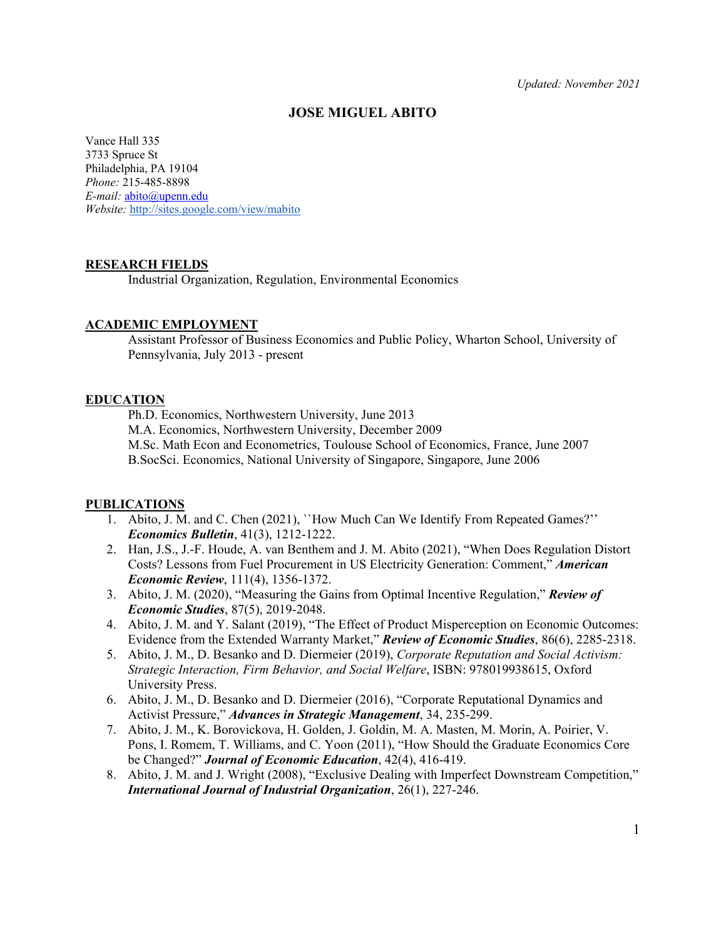### **JOSE MIGUEL ABITO**

Vance Hall 335 3733 Spruce St Philadelphia, PA 19104 *Phone:* 215-485-8898 *E-mail:* [abito@upenn.edu](mailto:abito@upenn.edu) *Website:* <http://sites.google.com/view/mabito>

### **RESEARCH FIELDS**

Industrial Organization, Regulation, Environmental Economics

#### **ACADEMIC EMPLOYMENT**

Assistant Professor of Business Economics and Public Policy, Wharton School, University of Pennsylvania, July 2013 - present

### **EDUCATION**

Ph.D. Economics, Northwestern University, June 2013

M.A. Economics, Northwestern University, December 2009

M.Sc. Math Econ and Econometrics, Toulouse School of Economics, France, June 2007

B.SocSci. Economics, National University of Singapore, Singapore, June 2006

### **PUBLICATIONS**

- 1. Abito, J. M. and C. Chen (2021), ``How Much Can We Identify From Repeated Games?'' *Economics Bulletin*, 41(3), 1212-1222.
- 2. Han, J.S., J.-F. Houde, A. van Benthem and J. M. Abito (2021), "When Does Regulation Distort Costs? Lessons from Fuel Procurement in US Electricity Generation: Comment," *American Economic Review*, 111(4), 1356-1372.
- 3. Abito, J. M. (2020), "Measuring the Gains from Optimal Incentive Regulation," *Review of Economic Studies*, 87(5), 2019-2048.
- 4. Abito, J. M. and Y. Salant (2019), "The Effect of Product Misperception on Economic Outcomes: Evidence from the Extended Warranty Market," *Review of Economic Studies*, 86(6), 2285-2318.
- 5. Abito, J. M., D. Besanko and D. Diermeier (2019), *Corporate Reputation and Social Activism: Strategic Interaction, Firm Behavior, and Social Welfare*, ISBN: 978019938615, Oxford University Press.
- 6. Abito, J. M., D. Besanko and D. Diermeier (2016), "Corporate Reputational Dynamics and Activist Pressure," *Advances in Strategic Management*, 34, 235-299.
- 7. Abito, J. M., K. Borovickova, H. Golden, J. Goldin, M. A. Masten, M. Morin, A. Poirier, V. Pons, I. Romem, T. Williams, and C. Yoon (2011), "How Should the Graduate Economics Core be Changed?" *Journal of Economic Education*, 42(4), 416-419.
- 8. Abito, J. M. and J. Wright (2008), "Exclusive Dealing with Imperfect Downstream Competition," *International Journal of Industrial Organization*, 26(1), 227-246.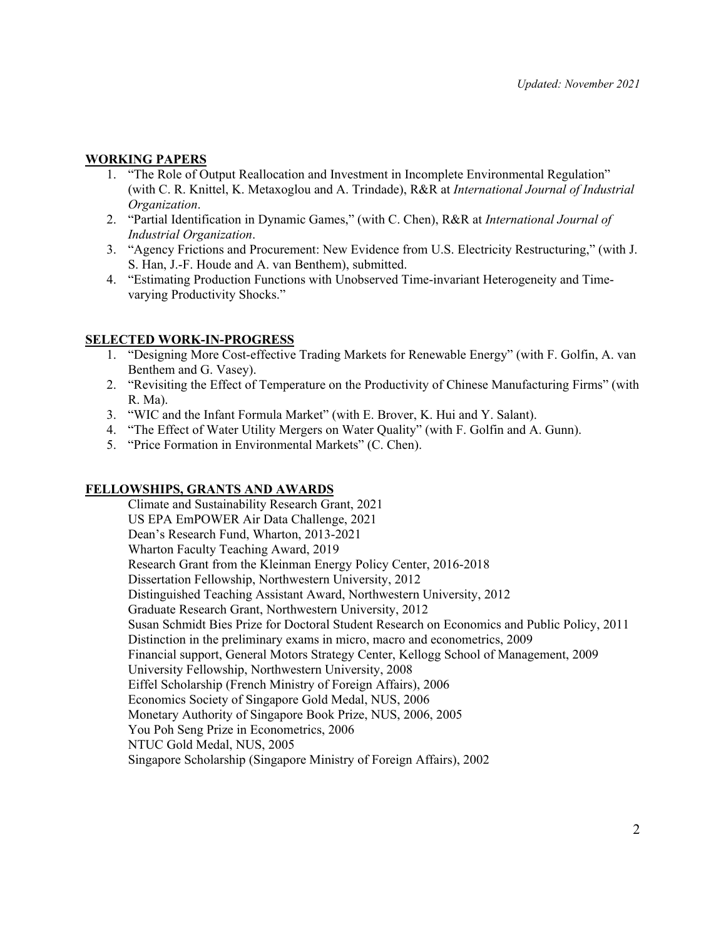## **WORKING PAPERS**

- 1. "The Role of Output Reallocation and Investment in Incomplete Environmental Regulation" (with C. R. Knittel, K. Metaxoglou and A. Trindade), R&R at *International Journal of Industrial Organization*.
- 2. "Partial Identification in Dynamic Games," (with C. Chen), R&R at *International Journal of Industrial Organization*.
- 3. "Agency Frictions and Procurement: New Evidence from U.S. Electricity Restructuring," (with J. S. Han, J.-F. Houde and A. van Benthem), submitted.
- 4. "Estimating Production Functions with Unobserved Time-invariant Heterogeneity and Timevarying Productivity Shocks."

## **SELECTED WORK-IN-PROGRESS**

- 1. "Designing More Cost-effective Trading Markets for Renewable Energy" (with F. Golfin, A. van Benthem and G. Vasey).
- 2. "Revisiting the Effect of Temperature on the Productivity of Chinese Manufacturing Firms" (with R. Ma).
- 3. "WIC and the Infant Formula Market" (with E. Brover, K. Hui and Y. Salant).
- 4. "The Effect of Water Utility Mergers on Water Quality" (with F. Golfin and A. Gunn).
- 5. "Price Formation in Environmental Markets" (C. Chen).

## **FELLOWSHIPS, GRANTS AND AWARDS**

Climate and Sustainability Research Grant, 2021 US EPA EmPOWER Air Data Challenge, 2021 Dean's Research Fund, Wharton, 2013-2021 Wharton Faculty Teaching Award, 2019 Research Grant from the Kleinman Energy Policy Center, 2016-2018 Dissertation Fellowship, Northwestern University, 2012 Distinguished Teaching Assistant Award, Northwestern University, 2012 Graduate Research Grant, Northwestern University, 2012 Susan Schmidt Bies Prize for Doctoral Student Research on Economics and Public Policy, 2011 Distinction in the preliminary exams in micro, macro and econometrics, 2009 Financial support, General Motors Strategy Center, Kellogg School of Management, 2009 University Fellowship, Northwestern University, 2008 Eiffel Scholarship (French Ministry of Foreign Affairs), 2006 Economics Society of Singapore Gold Medal, NUS, 2006 Monetary Authority of Singapore Book Prize, NUS, 2006, 2005 You Poh Seng Prize in Econometrics, 2006 NTUC Gold Medal, NUS, 2005 Singapore Scholarship (Singapore Ministry of Foreign Affairs), 2002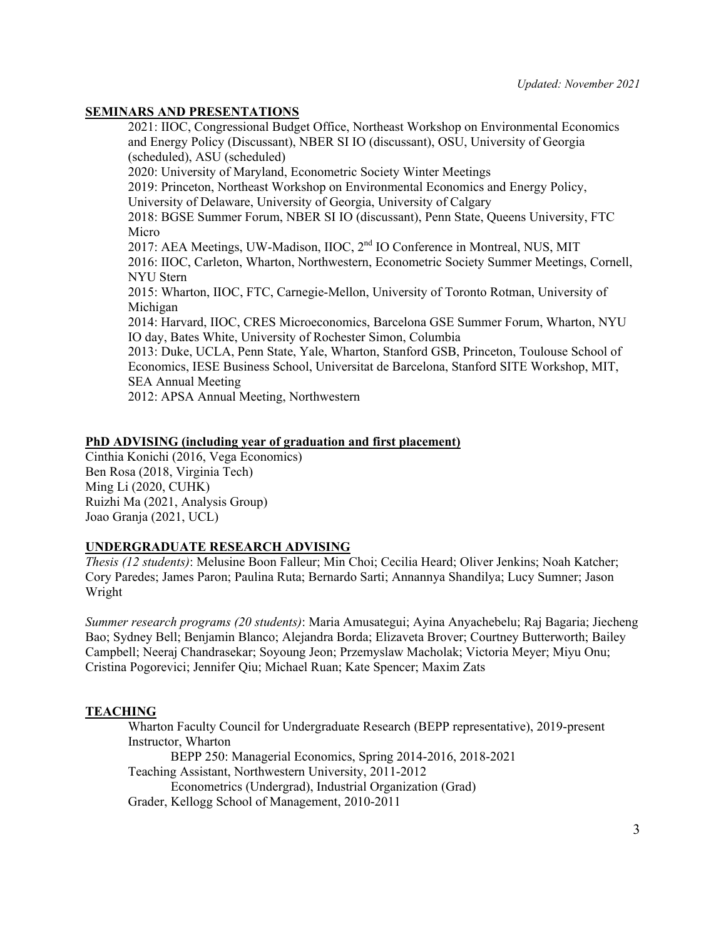## **SEMINARS AND PRESENTATIONS**

2021: IIOC, Congressional Budget Office, Northeast Workshop on Environmental Economics and Energy Policy (Discussant), NBER SI IO (discussant), OSU, University of Georgia (scheduled), ASU (scheduled) 2020: University of Maryland, Econometric Society Winter Meetings 2019: Princeton, Northeast Workshop on Environmental Economics and Energy Policy, University of Delaware, University of Georgia, University of Calgary 2018: BGSE Summer Forum, NBER SI IO (discussant), Penn State, Queens University, FTC Micro 2017: AEA Meetings, UW-Madison, IIOC, 2<sup>nd</sup> IO Conference in Montreal, NUS, MIT 2016: IIOC, Carleton, Wharton, Northwestern, Econometric Society Summer Meetings, Cornell, NYU Stern 2015: Wharton, IIOC, FTC, Carnegie-Mellon, University of Toronto Rotman, University of Michigan 2014: Harvard, IIOC, CRES Microeconomics, Barcelona GSE Summer Forum, Wharton, NYU IO day, Bates White, University of Rochester Simon, Columbia 2013: Duke, UCLA, Penn State, Yale, Wharton, Stanford GSB, Princeton, Toulouse School of Economics, IESE Business School, Universitat de Barcelona, Stanford SITE Workshop, MIT, SEA Annual Meeting 2012: APSA Annual Meeting, Northwestern

# **PhD ADVISING (including year of graduation and first placement)**

Cinthia Konichi (2016, Vega Economics) Ben Rosa (2018, Virginia Tech) Ming Li (2020, CUHK) Ruizhi Ma (2021, Analysis Group) Joao Granja (2021, UCL)

# **UNDERGRADUATE RESEARCH ADVISING**

*Thesis (12 students)*: Melusine Boon Falleur; Min Choi; Cecilia Heard; Oliver Jenkins; Noah Katcher; Cory Paredes; James Paron; Paulina Ruta; Bernardo Sarti; Annannya Shandilya; Lucy Sumner; Jason Wright

*Summer research programs (20 students)*: Maria Amusategui; Ayina Anyachebelu; Raj Bagaria; Jiecheng Bao; Sydney Bell; Benjamin Blanco; Alejandra Borda; Elizaveta Brover; Courtney Butterworth; Bailey Campbell; Neeraj Chandrasekar; Soyoung Jeon; Przemyslaw Macholak; Victoria Meyer; Miyu Onu; Cristina Pogorevici; Jennifer Qiu; Michael Ruan; Kate Spencer; Maxim Zats

# **TEACHING**

Wharton Faculty Council for Undergraduate Research (BEPP representative), 2019-present Instructor, Wharton BEPP 250: Managerial Economics, Spring 2014-2016, 2018-2021 Teaching Assistant, Northwestern University, 2011-2012 Econometrics (Undergrad), Industrial Organization (Grad) Grader, Kellogg School of Management, 2010-2011